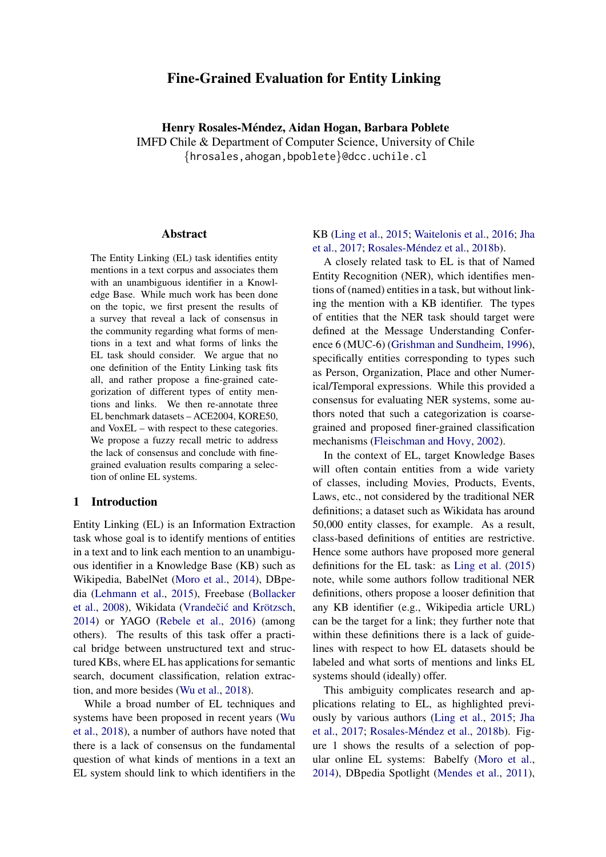# Fine-Grained Evaluation for Entity Linking

Henry Rosales-Méndez, Aidan Hogan, Barbara Poblete IMFD Chile & Department of Computer Science, University of Chile {hrosales,ahogan,bpoblete}@dcc.uchile.cl

#### Abstract

The Entity Linking (EL) task identifies entity mentions in a text corpus and associates them with an unambiguous identifier in a Knowledge Base. While much work has been done on the topic, we first present the results of a survey that reveal a lack of consensus in the community regarding what forms of mentions in a text and what forms of links the EL task should consider. We argue that no one definition of the Entity Linking task fits all, and rather propose a fine-grained categorization of different types of entity mentions and links. We then re-annotate three EL benchmark datasets – ACE2004, KORE50, and VoxEL – with respect to these categories. We propose a fuzzy recall metric to address the lack of consensus and conclude with finegrained evaluation results comparing a selection of online EL systems.

### 1 Introduction

Entity Linking (EL) is an Information Extraction task whose goal is to identify mentions of entities in a text and to link each mention to an unambiguous identifier in a Knowledge Base (KB) such as Wikipedia, BabelNet [\(Moro et al.,](#page-9-0) [2014\)](#page-9-0), DBpedia [\(Lehmann et al.,](#page-9-1) [2015\)](#page-9-1), Freebase [\(Bollacker](#page-9-2) [et al.,](#page-9-2) [2008\)](#page-9-2), Wikidata (Vrandečić and Krötzsch, [2014\)](#page-9-3) or YAGO [\(Rebele et al.,](#page-9-4) [2016\)](#page-9-4) (among others). The results of this task offer a practical bridge between unstructured text and structured KBs, where EL has applications for semantic search, document classification, relation extraction, and more besides [\(Wu et al.,](#page-9-5) [2018\)](#page-9-5).

While a broad number of EL techniques and systems have been proposed in recent years [\(Wu](#page-9-5) [et al.,](#page-9-5) [2018\)](#page-9-5), a number of authors have noted that there is a lack of consensus on the fundamental question of what kinds of mentions in a text an EL system should link to which identifiers in the

KB [\(Ling et al.,](#page-9-6) [2015;](#page-9-6) [Waitelonis et al.,](#page-9-7) [2016;](#page-9-7) [Jha](#page-9-8) [et al.,](#page-9-8) [2017;](#page-9-8) Rosales-Méndez et al., [2018b\)](#page-9-9).

A closely related task to EL is that of Named Entity Recognition (NER), which identifies mentions of (named) entities in a task, but without linking the mention with a KB identifier. The types of entities that the NER task should target were defined at the Message Understanding Conference 6 (MUC-6) [\(Grishman and Sundheim,](#page-9-10) [1996\)](#page-9-10), specifically entities corresponding to types such as Person, Organization, Place and other Numerical/Temporal expressions. While this provided a consensus for evaluating NER systems, some authors noted that such a categorization is coarsegrained and proposed finer-grained classification mechanisms [\(Fleischman and Hovy,](#page-9-11) [2002\)](#page-9-11).

In the context of EL, target Knowledge Bases will often contain entities from a wide variety of classes, including Movies, Products, Events, Laws, etc., not considered by the traditional NER definitions; a dataset such as Wikidata has around 50,000 entity classes, for example. As a result, class-based definitions of entities are restrictive. Hence some authors have proposed more general definitions for the EL task: as [Ling et al.](#page-9-6) [\(2015\)](#page-9-6) note, while some authors follow traditional NER definitions, others propose a looser definition that any KB identifier (e.g., Wikipedia article URL) can be the target for a link; they further note that within these definitions there is a lack of guidelines with respect to how EL datasets should be labeled and what sorts of mentions and links EL systems should (ideally) offer.

This ambiguity complicates research and applications relating to EL, as highlighted previously by various authors [\(Ling et al.,](#page-9-6) [2015;](#page-9-6) [Jha](#page-9-8) [et al.,](#page-9-8) [2017;](#page-9-8) Rosales-Méndez et al., [2018b\)](#page-9-9). Figure 1 shows the results of a selection of popular online EL systems: Babelfy [\(Moro et al.,](#page-9-0) [2014\)](#page-9-0), DBpedia Spotlight [\(Mendes et al.,](#page-9-12) [2011\)](#page-9-12),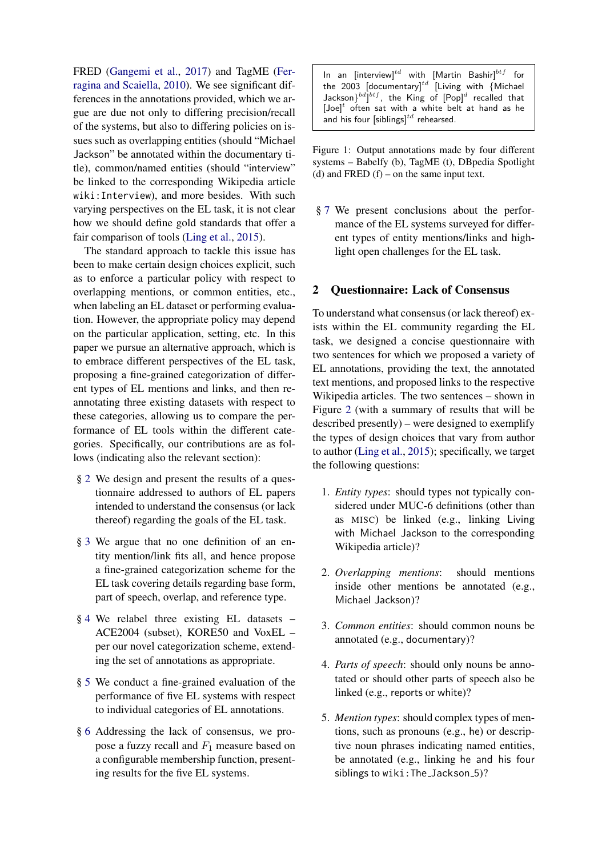FRED [\(Gangemi et al.,](#page-9-13) [2017\)](#page-9-13) and TagME [\(Fer](#page-9-14)[ragina and Scaiella,](#page-9-14) [2010\)](#page-9-14). We see significant differences in the annotations provided, which we argue are due not only to differing precision/recall of the systems, but also to differing policies on issues such as overlapping entities (should "Michael Jackson" be annotated within the documentary title), common/named entities (should "interview" be linked to the corresponding Wikipedia article wiki:Interview), and more besides. With such varying perspectives on the EL task, it is not clear how we should define gold standards that offer a fair comparison of tools [\(Ling et al.,](#page-9-6) [2015\)](#page-9-6).

The standard approach to tackle this issue has been to make certain design choices explicit, such as to enforce a particular policy with respect to overlapping mentions, or common entities, etc., when labeling an EL dataset or performing evaluation. However, the appropriate policy may depend on the particular application, setting, etc. In this paper we pursue an alternative approach, which is to embrace different perspectives of the EL task, proposing a fine-grained categorization of different types of EL mentions and links, and then reannotating three existing datasets with respect to these categories, allowing us to compare the performance of EL tools within the different categories. Specifically, our contributions are as follows (indicating also the relevant section):

- § [2](#page-1-0) We design and present the results of a questionnaire addressed to authors of EL papers intended to understand the consensus (or lack thereof) regarding the goals of the EL task.
- § [3](#page-3-0) We argue that no one definition of an entity mention/link fits all, and hence propose a fine-grained categorization scheme for the EL task covering details regarding base form, part of speech, overlap, and reference type.
- § [4](#page-4-0) We relabel three existing EL datasets ACE2004 (subset), KORE50 and VoxEL – per our novel categorization scheme, extending the set of annotations as appropriate.
- § [5](#page-5-0) We conduct a fine-grained evaluation of the performance of five EL systems with respect to individual categories of EL annotations.
- § [6](#page-7-0) Addressing the lack of consensus, we propose a fuzzy recall and  $F_1$  measure based on a configurable membership function, presenting results for the five EL systems.

In an [interview] $^{td}$  with [Martin Bashir] $^{btf}$  for the 2003 [documentary] $^{td}$  [Living with {Michael Jackson $\}^{bd}]^{btf}$ , the King of  $[Pop]^d$  recalled that  $[Joe]^{t}$  often sat with a white belt at hand as he and his four [siblings] $^{td}$  rehearsed.

Figure 1: Output annotations made by four different systems – Babelfy (b), TagME (t), DBpedia Spotlight (d) and FRED  $(f)$  – on the same input text.

§ [7](#page-8-0) We present conclusions about the performance of the EL systems surveyed for different types of entity mentions/links and highlight open challenges for the EL task.

## <span id="page-1-0"></span>2 Questionnaire: Lack of Consensus

To understand what consensus (or lack thereof) exists within the EL community regarding the EL task, we designed a concise questionnaire with two sentences for which we proposed a variety of EL annotations, providing the text, the annotated text mentions, and proposed links to the respective Wikipedia articles. The two sentences – shown in Figure [2](#page-2-0) (with a summary of results that will be described presently) – were designed to exemplify the types of design choices that vary from author to author [\(Ling et al.,](#page-9-6) [2015\)](#page-9-6); specifically, we target the following questions:

- 1. *Entity types*: should types not typically considered under MUC-6 definitions (other than as MISC) be linked (e.g., linking Living with Michael Jackson to the corresponding Wikipedia article)?
- 2. *Overlapping mentions*: should mentions inside other mentions be annotated (e.g., Michael Jackson)?
- 3. *Common entities*: should common nouns be annotated (e.g., documentary)?
- 4. *Parts of speech*: should only nouns be annotated or should other parts of speech also be linked (e.g., reports or white)?
- 5. *Mention types*: should complex types of mentions, such as pronouns (e.g., he) or descriptive noun phrases indicating named entities, be annotated (e.g., linking he and his four siblings to wiki: The\_Jackson\_5)?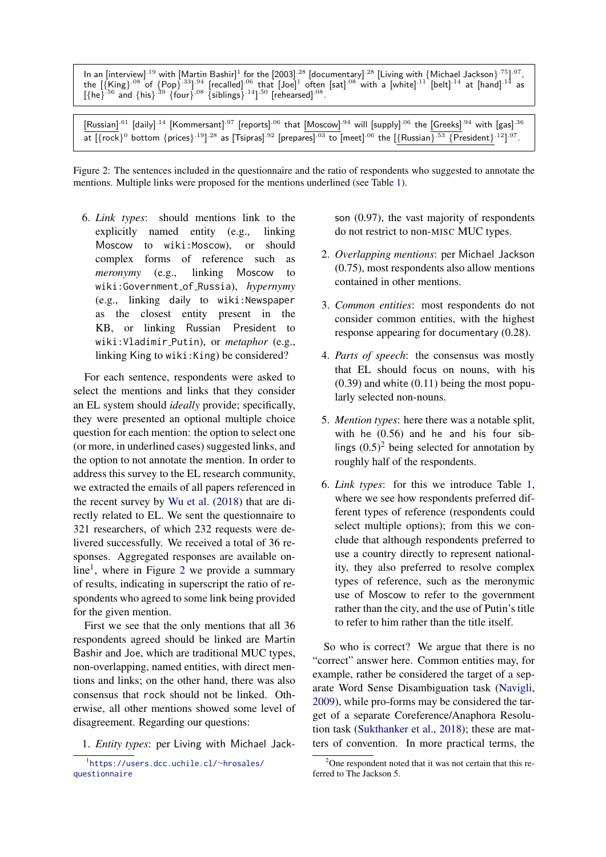<span id="page-2-0"></span>In an [interview] $^{19}$  with [Martin Bashir] $^1$  for the [2003]  $^{28}$  [documentary]  $^{28}$  [Living with {Michael Jackson}  $^{75}$ ]  $^{97}$ , the  $[\{King\}^{.08}$  of  $\{Pop\}^{.33]^{.94}$  [recalled]  $^{06}$  that  $[Joe]^1$  often [sat]  $^{08}$  with a [white]  $^{11}$  [belt]  $^{14}$  at [hand]  $^{14}$  as  $[{he}^{56}$  and  ${his}^{39}$  {four} <sup>08</sup> {siblings} <sup>14</sup>] <sup>50</sup> [rehearsed] <sup>08</sup>.

[Russian]<sup>.61</sup> [daily]<sup>.14</sup> [Kommersant]<sup>.97</sup> [reports]<sup>.06</sup> that [Moscow]<sup>.94</sup> will [supply]<sup>.06</sup> the [Greeks]<sup>.94</sup> with [gas]<sup>.36</sup> at  $[\{rock\}^0$  bottom  $\{prices\}^{.19}]^{.28}$  as  $[\text{Tsipras}]^{.92}$  [prepares]  $^{03}$  to [meet]  $^{06}$  the  $[\{Russian\}^{.53}$   $\{President\}^{.12}]^{.97}$ .

Figure 2: The sentences included in the questionnaire and the ratio of respondents who suggested to annotate the mentions. Multiple links were proposed for the mentions underlined (see Table [1\)](#page-3-1).

6. *Link types*: should mentions link to the explicitly named entity (e.g., linking Moscow to wiki:Moscow), or should complex forms of reference such as *meronymy* (e.g., linking Moscow to wiki:Government of Russia), *hypernymy* (e.g., linking daily to wiki:Newspaper as the closest entity present in the KB, or linking Russian President to wiki:Vladimir Putin), or *metaphor* (e.g., linking King to wiki:King) be considered?

For each sentence, respondents were asked to select the mentions and links that they consider an EL system should *ideally* provide; specifically, they were presented an optional multiple choice question for each mention: the option to select one (or more, in underlined cases) suggested links, and the option to not annotate the mention. In order to address this survey to the EL research community, we extracted the emails of all papers referenced in the recent survey by [Wu et al.](#page-9-5) [\(2018\)](#page-9-5) that are directly related to EL. We sent the questionnaire to 321 researchers, of which 232 requests were delivered successfully. We received a total of 36 responses. Aggregated responses are available on-line<sup>[1](#page-2-1)</sup>, where in Figure [2](#page-2-0) we provide a summary of results, indicating in superscript the ratio of respondents who agreed to some link being provided for the given mention.

First we see that the only mentions that all 36 respondents agreed should be linked are Martin Bashir and Joe, which are traditional MUC types, non-overlapping, named entities, with direct mentions and links; on the other hand, there was also consensus that rock should not be linked. Otherwise, all other mentions showed some level of disagreement. Regarding our questions:

1. *Entity types*: per Living with Michael Jack-

son (0.97), the vast majority of respondents do not restrict to non-MISC MUC types.

- 2. *Overlapping mentions*: per Michael Jackson (0.75), most respondents also allow mentions contained in other mentions.
- 3. *Common entities*: most respondents do not consider common entities, with the highest response appearing for documentary (0.28).
- 4. *Parts of speech*: the consensus was mostly that EL should focus on nouns, with his  $(0.39)$  and white  $(0.11)$  being the most popularly selected non-nouns.
- 5. *Mention types*: here there was a notable split, with he (0.56) and he and his four siblings  $(0.5)^2$  $(0.5)^2$  being selected for annotation by roughly half of the respondents.
- 6. *Link types*: for this we introduce Table [1,](#page-3-1) where we see how respondents preferred different types of reference (respondents could select multiple options); from this we conclude that although respondents preferred to use a country directly to represent nationality, they also preferred to resolve complex types of reference, such as the meronymic use of Moscow to refer to the government rather than the city, and the use of Putin's title to refer to him rather than the title itself.

So who is correct? We argue that there is no "correct" answer here. Common entities may, for example, rather be considered the target of a separate Word Sense Disambiguation task [\(Navigli,](#page-9-15) [2009\)](#page-9-15), while pro-forms may be considered the target of a separate Coreference/Anaphora Resolution task [\(Sukthanker et al.,](#page-9-16) [2018\)](#page-9-16); these are matters of convention. In more practical terms, the

<span id="page-2-1"></span><sup>1</sup> [https://users.dcc.uchile.cl/](https://users.dcc.uchile.cl/~hrosales/questionnaire)∼hrosales/ [questionnaire](https://users.dcc.uchile.cl/~hrosales/questionnaire)

<span id="page-2-2"></span> $2^2$ One respondent noted that it was not certain that this referred to The Jackson 5.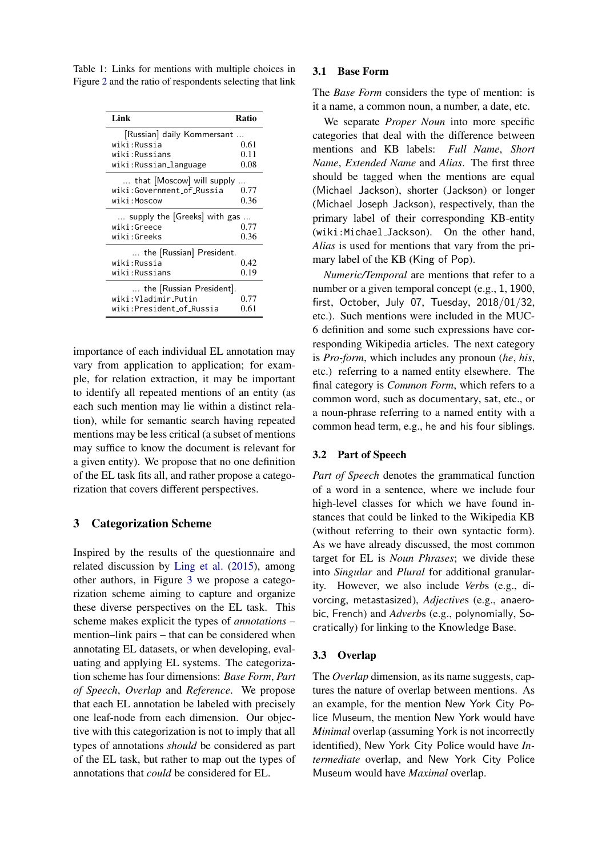<span id="page-3-1"></span>Table 1: Links for mentions with multiple choices in Figure [2](#page-2-0) and the ratio of respondents selecting that link

| Link                         | Ratio |  |  |  |  |  |  |  |  |
|------------------------------|-------|--|--|--|--|--|--|--|--|
| [Russian] daily Kommersant   |       |  |  |  |  |  |  |  |  |
| wiki:Russia                  | 0.61  |  |  |  |  |  |  |  |  |
| wiki:Russians                | 0.11  |  |  |  |  |  |  |  |  |
| wiki:Russian_language        | 0.08  |  |  |  |  |  |  |  |  |
| that [Moscow] will supply    |       |  |  |  |  |  |  |  |  |
| wiki:Government_of_Russia    | 0.77  |  |  |  |  |  |  |  |  |
| wiki:Moscow                  | 0.36  |  |  |  |  |  |  |  |  |
| supply the [Greeks] with gas |       |  |  |  |  |  |  |  |  |
| wiki:Greece                  | 0.77  |  |  |  |  |  |  |  |  |
| wiki:Greeks                  | 0.36  |  |  |  |  |  |  |  |  |
| the [Russian] President.     |       |  |  |  |  |  |  |  |  |
| wiki:Russia                  | 0.42  |  |  |  |  |  |  |  |  |
| wiki:Russians                | 0.19  |  |  |  |  |  |  |  |  |
| the [Russian President].     |       |  |  |  |  |  |  |  |  |
| wiki:Vladimir_Putin          | 0.77  |  |  |  |  |  |  |  |  |
| wiki:President_of_Russia     | 0.61  |  |  |  |  |  |  |  |  |

importance of each individual EL annotation may vary from application to application; for example, for relation extraction, it may be important to identify all repeated mentions of an entity (as each such mention may lie within a distinct relation), while for semantic search having repeated mentions may be less critical (a subset of mentions may suffice to know the document is relevant for a given entity). We propose that no one definition of the EL task fits all, and rather propose a categorization that covers different perspectives.

## <span id="page-3-0"></span>3 Categorization Scheme

Inspired by the results of the questionnaire and related discussion by [Ling et al.](#page-9-6) [\(2015\)](#page-9-6), among other authors, in Figure [3](#page-4-1) we propose a categorization scheme aiming to capture and organize these diverse perspectives on the EL task. This scheme makes explicit the types of *annotations* – mention–link pairs – that can be considered when annotating EL datasets, or when developing, evaluating and applying EL systems. The categorization scheme has four dimensions: *Base Form*, *Part of Speech*, *Overlap* and *Reference*. We propose that each EL annotation be labeled with precisely one leaf-node from each dimension. Our objective with this categorization is not to imply that all types of annotations *should* be considered as part of the EL task, but rather to map out the types of annotations that *could* be considered for EL.

### 3.1 Base Form

The *Base Form* considers the type of mention: is it a name, a common noun, a number, a date, etc.

We separate *Proper Noun* into more specific categories that deal with the difference between mentions and KB labels: *Full Name*, *Short Name*, *Extended Name* and *Alias*. The first three should be tagged when the mentions are equal (Michael Jackson), shorter (Jackson) or longer (Michael Joseph Jackson), respectively, than the primary label of their corresponding KB-entity (wiki:Michael Jackson). On the other hand, *Alias* is used for mentions that vary from the primary label of the KB (King of Pop).

*Numeric/Temporal* are mentions that refer to a number or a given temporal concept (e.g., 1, 1900, first, October, July 07, Tuesday, 2018/01/32, etc.). Such mentions were included in the MUC-6 definition and some such expressions have corresponding Wikipedia articles. The next category is *Pro-form*, which includes any pronoun (*he*, *his*, etc.) referring to a named entity elsewhere. The final category is *Common Form*, which refers to a common word, such as documentary, sat, etc., or a noun-phrase referring to a named entity with a common head term, e.g., he and his four siblings.

## 3.2 Part of Speech

*Part of Speech* denotes the grammatical function of a word in a sentence, where we include four high-level classes for which we have found instances that could be linked to the Wikipedia KB (without referring to their own syntactic form). As we have already discussed, the most common target for EL is *Noun Phrases*; we divide these into *Singular* and *Plural* for additional granularity. However, we also include *Verb*s (e.g., divorcing, metastasized), *Adjective*s (e.g., anaerobic, French) and *Adverb*s (e.g., polynomially, Socratically) for linking to the Knowledge Base.

### 3.3 Overlap

The *Overlap* dimension, as its name suggests, captures the nature of overlap between mentions. As an example, for the mention New York City Police Museum, the mention New York would have *Minimal* overlap (assuming York is not incorrectly identified), New York City Police would have *Intermediate* overlap, and New York City Police Museum would have *Maximal* overlap.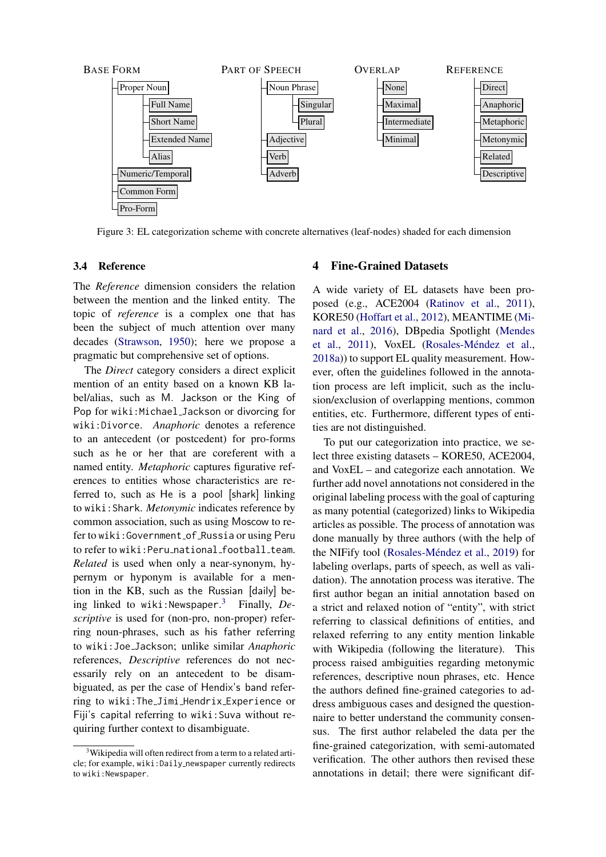<span id="page-4-1"></span>

Figure 3: EL categorization scheme with concrete alternatives (leaf-nodes) shaded for each dimension

### 3.4 Reference

The *Reference* dimension considers the relation between the mention and the linked entity. The topic of *reference* is a complex one that has been the subject of much attention over many decades [\(Strawson,](#page-9-17) [1950\)](#page-9-17); here we propose a pragmatic but comprehensive set of options.

The *Direct* category considers a direct explicit mention of an entity based on a known KB label/alias, such as M. Jackson or the King of Pop for wiki:Michael Jackson or divorcing for wiki:Divorce. *Anaphoric* denotes a reference to an antecedent (or postcedent) for pro-forms such as he or her that are coreferent with a named entity. *Metaphoric* captures figurative references to entities whose characteristics are referred to, such as He is a pool [shark] linking to wiki:Shark. *Metonymic* indicates reference by common association, such as using Moscow to refer to wiki: Government of Russia or using Peru to refer to wiki: Peru\_national\_football\_team. *Related* is used when only a near-synonym, hypernym or hyponym is available for a mention in the KB, such as the Russian [daily] being linked to wiki:Newspaper. [3](#page-4-2) Finally, *Descriptive* is used for (non-pro, non-proper) referring noun-phrases, such as his father referring to wiki:Joe Jackson; unlike similar *Anaphoric* references, *Descriptive* references do not necessarily rely on an antecedent to be disambiguated, as per the case of Hendix's band referring to wiki:The Jimi Hendrix Experience or Fiji's capital referring to wiki:Suva without requiring further context to disambiguate.

#### <span id="page-4-0"></span>4 Fine-Grained Datasets

A wide variety of EL datasets have been proposed (e.g., ACE2004 [\(Ratinov et al.,](#page-9-18) [2011\)](#page-9-18), KORE50 [\(Hoffart et al.,](#page-9-19) [2012\)](#page-9-19), MEANTIME [\(Mi](#page-9-20)[nard et al.,](#page-9-20) [2016\)](#page-9-20), DBpedia Spotlight [\(Mendes](#page-9-12) [et al.,](#page-9-12) [2011\)](#page-9-12), VoxEL (Rosales-Méndez et al., [2018a\)](#page-9-21)) to support EL quality measurement. However, often the guidelines followed in the annotation process are left implicit, such as the inclusion/exclusion of overlapping mentions, common entities, etc. Furthermore, different types of entities are not distinguished.

To put our categorization into practice, we select three existing datasets – KORE50, ACE2004, and VoxEL – and categorize each annotation. We further add novel annotations not considered in the original labeling process with the goal of capturing as many potential (categorized) links to Wikipedia articles as possible. The process of annotation was done manually by three authors (with the help of the NIFify tool (Rosales-Méndez et al., [2019\)](#page-9-22) for labeling overlaps, parts of speech, as well as validation). The annotation process was iterative. The first author began an initial annotation based on a strict and relaxed notion of "entity", with strict referring to classical definitions of entities, and relaxed referring to any entity mention linkable with Wikipedia (following the literature). This process raised ambiguities regarding metonymic references, descriptive noun phrases, etc. Hence the authors defined fine-grained categories to address ambiguous cases and designed the questionnaire to better understand the community consensus. The first author relabeled the data per the fine-grained categorization, with semi-automated verification. The other authors then revised these annotations in detail; there were significant dif-

<span id="page-4-2"></span><sup>&</sup>lt;sup>3</sup>Wikipedia will often redirect from a term to a related article; for example, wiki:Daily newspaper currently redirects to wiki:Newspaper.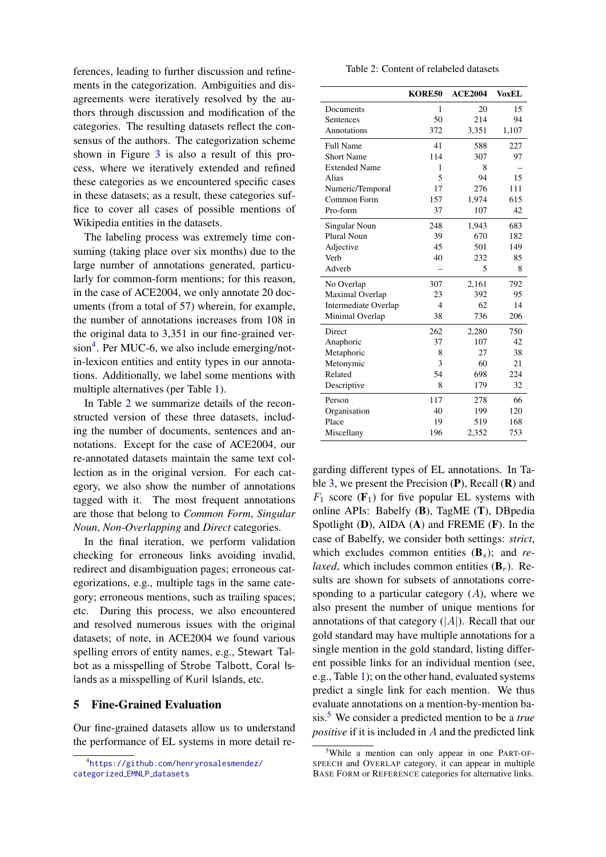ferences, leading to further discussion and refinements in the categorization. Ambiguities and disagreements were iteratively resolved by the authors through discussion and modification of the categories. The resulting datasets reflect the consensus of the authors. The categorization scheme shown in Figure [3](#page-4-1) is also a result of this process, where we iteratively extended and refined these categories as we encountered specific cases in these datasets; as a result, these categories suffice to cover all cases of possible mentions of Wikipedia entities in the datasets.

The labeling process was extremely time consuming (taking place over six months) due to the large number of annotations generated, particularly for common-form mentions; for this reason, in the case of ACE2004, we only annotate 20 documents (from a total of 57) wherein, for example, the number of annotations increases from 108 in the original data to 3,351 in our fine-grained ver-sion<sup>[4](#page-5-1)</sup>. Per MUC-6, we also include emerging/notin-lexicon entities and entity types in our annotations. Additionally, we label some mentions with multiple alternatives (per Table [1\)](#page-3-1).

In Table [2](#page-5-2) we summarize details of the reconstructed version of these three datasets, including the number of documents, sentences and annotations. Except for the case of ACE2004, our re-annotated datasets maintain the same text collection as in the original version. For each category, we also show the number of annotations tagged with it. The most frequent annotations are those that belong to *Common Form*, *Singular Noun*, *Non-Overlapping* and *Direct* categories.

In the final iteration, we perform validation checking for erroneous links avoiding invalid, redirect and disambiguation pages; erroneous categorizations, e.g., multiple tags in the same category; erroneous mentions, such as trailing spaces; etc. During this process, we also encountered and resolved numerous issues with the original datasets; of note, in ACE2004 we found various spelling errors of entity names, e.g., Stewart Talbot as a misspelling of Strobe Talbott, Coral Islands as a misspelling of Kuril Islands, etc.

#### <span id="page-5-0"></span>5 Fine-Grained Evaluation

Our fine-grained datasets allow us to understand the performance of EL systems in more detail re-

| Table 2: Content of relabeled datasets |  |  |  |  |
|----------------------------------------|--|--|--|--|
|----------------------------------------|--|--|--|--|

<span id="page-5-2"></span>

|                      | KORE50         | <b>ACE2004</b> | VoxEL |
|----------------------|----------------|----------------|-------|
| Documents            | 1              | 20             | 15    |
| Sentences            | 50             | 214            | 94    |
| Annotations          | 372            | 3,351          | 1,107 |
| <b>Full Name</b>     | 41             | 588            | 227   |
| <b>Short Name</b>    | 114            | 307            | 97    |
| <b>Extended Name</b> | 1              | 8              |       |
| Alias                | 5              | 94             | 15    |
| Numeric/Temporal     | 17             | 276            | 111   |
| Common Form          | 157            | 1,974          | 615   |
| Pro-form             | 37             | 107            | 42    |
| Singular Noun        | 248            | 1,943          | 683   |
| Plural Noun          | 39             | 670            | 182   |
| Adjective            | 45             | 501            | 149   |
| Verb                 | 40             | 232            | 85    |
| Adverb               |                | 5              | 8     |
| No Overlap           | 307            | 2,161          | 792   |
| Maximal Overlap      | 23             | 392            | 95    |
| Intermediate Overlap | $\overline{4}$ | 62             | 14    |
| Minimal Overlap      | 38             | 736            | 206   |
| Direct               | 262            | 2,280          | 750   |
| Anaphoric            | 37             | 107            | 42    |
| Metaphoric           | 8              | 27             | 38    |
| Metonymic            | 3              | 60             | 21    |
| Related              | 54             | 698            | 224   |
| Descriptive          | 8              | 179            | 32    |
| Person               | 117            | 278            | 66    |
| Organisation         | 40             | 199            | 120   |
| Place                | 19             | 519            | 168   |
| Miscellany           | 196            | 2,352          | 753   |

garding different types of EL annotations. In Ta-ble [3,](#page-6-0) we present the Precision  $(P)$ , Recall  $(R)$  and  $F_1$  score ( $\mathbf{F}_1$ ) for five popular EL systems with online APIs: Babelfy (B), TagME (T), DBpedia Spotlight  $(D)$ , AIDA  $(A)$  and FREME  $(F)$ . In the case of Babelfy, we consider both settings: *strict*, which excludes common entities  $(\mathbf{B}_s)$ ; and *relaxed*, which includes common entities  $(\mathbf{B}_r)$ . Results are shown for subsets of annotations corresponding to a particular category  $(A)$ , where we also present the number of unique mentions for annotations of that category  $(|A|)$ . Recall that our gold standard may have multiple annotations for a single mention in the gold standard, listing different possible links for an individual mention (see, e.g., Table [1\)](#page-3-1); on the other hand, evaluated systems predict a single link for each mention. We thus evaluate annotations on a mention-by-mention basis.[5](#page-5-3) We consider a predicted mention to be a *true positive* if it is included in A and the predicted link

<span id="page-5-1"></span><sup>4</sup> [https://github.com/henryrosalesmendez/](https://github.com/henryrosalesmendez/categorized_EMNLP_datasets) [categorized](https://github.com/henryrosalesmendez/categorized_EMNLP_datasets) EMNLP datasets

<span id="page-5-3"></span><sup>&</sup>lt;sup>5</sup>While a mention can only appear in one PART-OF-SPEECH and OVERLAP category, it can appear in multiple BASE FORM or REFERENCE categories for alternative links.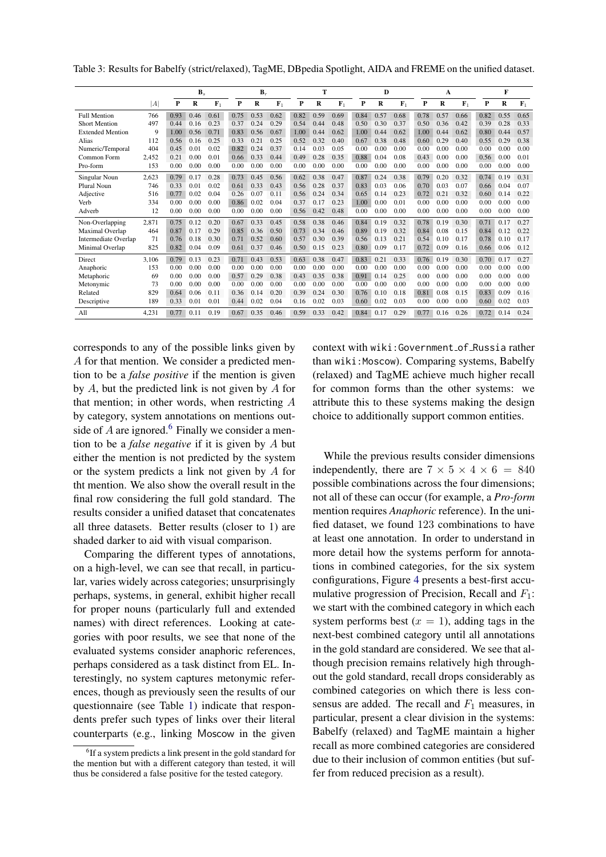|                         |       |      | $\mathbf{B}_s$ |             | $\mathbf{B}_r$ |      | т           |      |      | D              |      |      | A           |      |      |             | F    |      |             |
|-------------------------|-------|------|----------------|-------------|----------------|------|-------------|------|------|----------------|------|------|-------------|------|------|-------------|------|------|-------------|
|                         | A     | P    | R              | ${\bf F}_1$ | P              | R    | ${\bf F}_1$ | P    | R    | $\mathbf{F}_1$ | P    | R    | ${\bf F}_1$ | P    | R    | ${\bf F}_1$ | P    | R    | ${\bf F}_1$ |
| <b>Full Mention</b>     | 766   | 0.93 | 0.46           | 0.61        | 0.75           | 0.53 | 0.62        | 0.82 | 0.59 | 0.69           | 0.84 | 0.57 | 0.68        | 0.78 | 0.57 | 0.66        | 0.82 | 0.55 | 0.65        |
| <b>Short Mention</b>    | 497   | 0.44 | 0.16           | 0.23        | 0.37           | 0.24 | 0.29        | 0.54 | 0.44 | 0.48           | 0.50 | 0.30 | 0.37        | 0.50 | 0.36 | 0.42        | 0.39 | 0.28 | 0.33        |
| <b>Extended Mention</b> | 9     | 1.00 | 0.56           | 0.71        | 0.83           | 0.56 | 0.67        | 1.00 | 0.44 | 0.62           | 1.00 | 0.44 | 0.62        | 1.00 | 0.44 | 0.62        | 0.80 | 0.44 | 0.57        |
| Alias                   | 112   | 0.56 | 0.16           | 0.25        | 0.33           | 0.21 | 0.25        | 0.52 | 0.32 | 0.40           | 0.67 | 0.38 | 0.48        | 0.60 | 0.29 | 0.40        | 0.55 | 0.29 | 0.38        |
| Numeric/Temporal        | 404   | 0.45 | 0.01           | 0.02        | 0.82           | 0.24 | 0.37        | 0.14 | 0.03 | 0.05           | 0.00 | 0.00 | 0.00        | 0.00 | 0.00 | 0.00        | 0.00 | 0.00 | 0.00        |
| Common Form             | 2.452 | 0.21 | 0.00           | 0.01        | 0.66           | 0.33 | 0.44        | 0.49 | 0.28 | 0.35           | 0.88 | 0.04 | 0.08        | 0.43 | 0.00 | 0.00        | 0.56 | 0.00 | 0.01        |
| Pro-form                | 153   | 0.00 | 0.00           | 0.00        | 0.00           | 0.00 | 0.00        | 0.00 | 0.00 | 0.00           | 0.00 | 0.00 | 0.00        | 0.00 | 0.00 | 0.00        | 0.00 | 0.00 | 0.00        |
| Singular Noun           | 2,623 | 0.79 | 0.17           | 0.28        | 0.73           | 0.45 | 0.56        | 0.62 | 0.38 | 0.47           | 0.87 | 0.24 | 0.38        | 0.79 | 0.20 | 0.32        | 0.74 | 0.19 | 0.31        |
| Plural Noun             | 746   | 0.33 | 0.01           | 0.02        | 0.61           | 0.33 | 0.43        | 0.56 | 0.28 | 0.37           | 0.83 | 0.03 | 0.06        | 0.70 | 0.03 | 0.07        | 0.66 | 0.04 | 0.07        |
| Adjective               | 516   | 0.77 | 0.02           | 0.04        | 0.26           | 0.07 | 0.11        | 0.56 | 0.24 | 0.34           | 0.65 | 0.14 | 0.23        | 0.72 | 0.21 | 0.32        | 0.60 | 0.14 | 0.22        |
| Verb                    | 334   | 0.00 | 0.00           | 0.00        | 0.86           | 0.02 | 0.04        | 0.37 | 0.17 | 0.23           | 1.00 | 0.00 | 0.01        | 0.00 | 0.00 | 0.00        | 0.00 | 0.00 | 0.00        |
| Adverb                  | 12    | 0.00 | 0.00           | 0.00        | 0.00           | 0.00 | 0.00        | 0.56 | 0.42 | 0.48           | 0.00 | 0.00 | 0.00        | 0.00 | 0.00 | 0.00        | 0.00 | 0.00 | 0.00        |
| Non-Overlapping         | 2.871 | 0.75 | 0.12           | 0.20        | 0.67           | 0.33 | 0.45        | 0.58 | 0.38 | 0.46           | 0.84 | 0.19 | 0.32        | 0.78 | 0.19 | 0.30        | 0.71 | 0.17 | 0.27        |
| Maximal Overlap         | 464   | 0.87 | 0.17           | 0.29        | 0.85           | 0.36 | 0.50        | 0.73 | 0.34 | 0.46           | 0.89 | 0.19 | 0.32        | 0.84 | 0.08 | 0.15        | 0.84 | 0.12 | 0.22        |
| Intermediate Overlap    | 71    | 0.76 | 0.18           | 0.30        | 0.71           | 0.52 | 0.60        | 0.57 | 0.30 | 0.39           | 0.56 | 0.13 | 0.21        | 0.54 | 0.10 | 0.17        | 0.78 | 0.10 | 0.17        |
| Minimal Overlap         | 825   | 0.82 | 0.04           | 0.09        | 0.61           | 0.37 | 0.46        | 0.50 | 0.15 | 0.23           | 0.80 | 0.09 | 0.17        | 0.72 | 0.09 | 0.16        | 0.66 | 0.06 | 0.12        |
| Direct                  | 3.106 | 0.79 | 0.13           | 0.23        | 0.71           | 0.43 | 0.53        | 0.63 | 0.38 | 0.47           | 0.83 | 0.21 | 0.33        | 0.76 | 0.19 | 0.30        | 0.70 | 0.17 | 0.27        |
| Anaphoric               | 153   | 0.00 | 0.00           | 0.00        | 0.00           | 0.00 | 0.00        | 0.00 | 0.00 | 0.00           | 0.00 | 0.00 | 0.00        | 0.00 | 0.00 | 0.00        | 0.00 | 0.00 | 0.00        |
| Metaphoric              | 69    | 0.00 | 0.00           | 0.00        | 0.57           | 0.29 | 0.38        | 0.43 | 0.35 | 0.38           | 0.91 | 0.14 | 0.25        | 0.00 | 0.00 | 0.00        | 0.00 | 0.00 | 0.00        |
| Metonymic               | 73    | 0.00 | 0.00           | 0.00        | 0.00           | 0.00 | 0.00        | 0.00 | 0.00 | 0.00           | 0.00 | 0.00 | 0.00        | 0.00 | 0.00 | 0.00        | 0.00 | 0.00 | 0.00        |
| Related                 | 829   | 0.64 | 0.06           | 0.11        | 0.36           | 0.14 | 0.20        | 0.39 | 0.24 | 0.30           | 0.76 | 0.10 | 0.18        | 0.81 | 0.08 | 0.15        | 0.83 | 0.09 | 0.16        |
| Descriptive             | 189   | 0.33 | 0.01           | 0.01        | 0.44           | 0.02 | 0.04        | 0.16 | 0.02 | 0.03           | 0.60 | 0.02 | 0.03        | 0.00 | 0.00 | 0.00        | 0.60 | 0.02 | 0.03        |
| All                     | 4,231 | 0.77 | 0.11           | 0.19        | 0.67           | 0.35 | 0.46        | 0.59 | 0.33 | 0.42           | 0.84 | 0.17 | 0.29        | 0.77 | 0.16 | 0.26        | 0.72 | 0.14 | 0.24        |

<span id="page-6-0"></span>Table 3: Results for Babelfy (strict/relaxed), TagME, DBpedia Spotlight, AIDA and FREME on the unified dataset.

corresponds to any of the possible links given by A for that mention. We consider a predicted mention to be a *false positive* if the mention is given by  $A$ , but the predicted link is not given by  $A$  for that mention; in other words, when restricting A by category, system annotations on mentions out-side of A are ignored.<sup>[6](#page-6-1)</sup> Finally we consider a mention to be a *false negative* if it is given by A but either the mention is not predicted by the system or the system predicts a link not given by A for tht mention. We also show the overall result in the final row considering the full gold standard. The results consider a unified dataset that concatenates all three datasets. Better results (closer to 1) are shaded darker to aid with visual comparison.

Comparing the different types of annotations, on a high-level, we can see that recall, in particular, varies widely across categories; unsurprisingly perhaps, systems, in general, exhibit higher recall for proper nouns (particularly full and extended names) with direct references. Looking at categories with poor results, we see that none of the evaluated systems consider anaphoric references, perhaps considered as a task distinct from EL. Interestingly, no system captures metonymic references, though as previously seen the results of our questionnaire (see Table [1\)](#page-3-1) indicate that respondents prefer such types of links over their literal counterparts (e.g., linking Moscow in the given context with wiki:Government of Russia rather than wiki: Moscow). Comparing systems, Babelfy (relaxed) and TagME achieve much higher recall for common forms than the other systems: we attribute this to these systems making the design choice to additionally support common entities.

While the previous results consider dimensions independently, there are  $7 \times 5 \times 4 \times 6 = 840$ possible combinations across the four dimensions; not all of these can occur (for example, a *Pro-form* mention requires *Anaphoric* reference). In the unified dataset, we found 123 combinations to have at least one annotation. In order to understand in more detail how the systems perform for annotations in combined categories, for the six system configurations, Figure [4](#page-7-1) presents a best-first accumulative progression of Precision, Recall and  $F_1$ : we start with the combined category in which each system performs best  $(x = 1)$ , adding tags in the next-best combined category until all annotations in the gold standard are considered. We see that although precision remains relatively high throughout the gold standard, recall drops considerably as combined categories on which there is less consensus are added. The recall and  $F_1$  measures, in particular, present a clear division in the systems: Babelfy (relaxed) and TagME maintain a higher recall as more combined categories are considered due to their inclusion of common entities (but suffer from reduced precision as a result).

<span id="page-6-1"></span><sup>&</sup>lt;sup>6</sup>If a system predicts a link present in the gold standard for the mention but with a different category than tested, it will thus be considered a false positive for the tested category.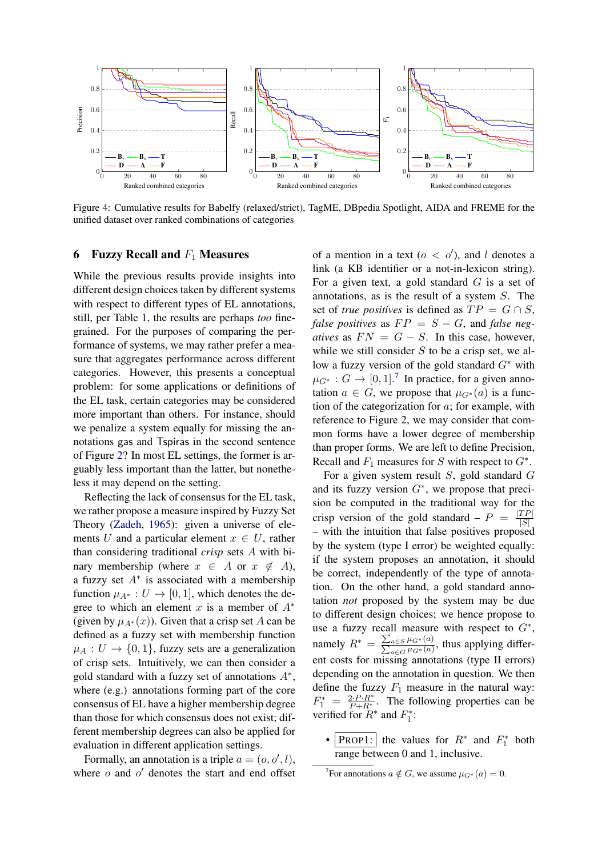<span id="page-7-1"></span>

Figure 4: Cumulative results for Babelfy (relaxed/strict), TagME, DBpedia Spotlight, AIDA and FREME for the unified dataset over ranked combinations of categories

#### <span id="page-7-0"></span>**6** Fuzzy Recall and  $F_1$  Measures

While the previous results provide insights into different design choices taken by different systems with respect to different types of EL annotations, still, per Table [1,](#page-3-1) the results are perhaps *too* finegrained. For the purposes of comparing the performance of systems, we may rather prefer a measure that aggregates performance across different categories. However, this presents a conceptual problem: for some applications or definitions of the EL task, certain categories may be considered more important than others. For instance, should we penalize a system equally for missing the annotations gas and Tspiras in the second sentence of Figure [2?](#page-2-0) In most EL settings, the former is arguably less important than the latter, but nonetheless it may depend on the setting.

Reflecting the lack of consensus for the EL task, we rather propose a measure inspired by Fuzzy Set Theory [\(Zadeh,](#page-9-23) [1965\)](#page-9-23): given a universe of elements U and a particular element  $x \in U$ , rather than considering traditional *crisp* sets A with binary membership (where  $x \in A$  or  $x \notin A$ ), a fuzzy set  $A^*$  is associated with a membership function  $\mu_{A^*}: U \to [0,1]$ , which denotes the degree to which an element x is a member of  $A^*$ (given by  $\mu_{A^*}(x)$ ). Given that a crisp set A can be defined as a fuzzy set with membership function  $\mu_A: U \to \{0, 1\}$ , fuzzy sets are a generalization of crisp sets. Intuitively, we can then consider a gold standard with a fuzzy set of annotations  $A^*$ , where (e.g.) annotations forming part of the core consensus of EL have a higher membership degree than those for which consensus does not exist; different membership degrees can also be applied for evaluation in different application settings.

Formally, an annotation is a triple  $a = (o, o', l)$ , where  $o$  and  $o'$  denotes the start and end offset

of a mention in a text ( $o < o'$ ), and l denotes a link (a KB identifier or a not-in-lexicon string). For a given text, a gold standard  $G$  is a set of annotations, as is the result of a system S. The set of *true positives* is defined as  $TP = G \cap S$ , *false positives* as  $FP = S - G$ , and *false negatives* as  $FN = G - S$ . In this case, however, while we still consider  $S$  to be a crisp set, we allow a fuzzy version of the gold standard  $G^*$  with  $\mu_{G^*}: G \to [0,1].^7$  $\mu_{G^*}: G \to [0,1].^7$  In practice, for a given annotation  $a \in G$ , we propose that  $\mu_{G^*}(a)$  is a function of the categorization for  $a$ ; for example, with reference to Figure 2, we may consider that common forms have a lower degree of membership than proper forms. We are left to define Precision, Recall and  $F_1$  measures for S with respect to  $G^*$ .

For a given system result  $S$ , gold standard  $G$ and its fuzzy version  $G^*$ , we propose that precision be computed in the traditional way for the crisp version of the gold standard –  $P = \frac{|TP|}{|S|}$  $|S|$ – with the intuition that false positives proposed by the system (type I error) be weighted equally: if the system proposes an annotation, it should be correct, independently of the type of annotation. On the other hand, a gold standard annotation *not* proposed by the system may be due to different design choices; we hence propose to use a fuzzy recall measure with respect to  $G^*$ , namely  $R^* = \frac{\sum_{a \in S} \mu_{G^*}(a)}{\sum_{a \in G} \mu_{G^*}(a)}$ , thus applying different costs for missing annotations (type II errors) depending on the annotation in question. We then define the fuzzy  $F_1$  measure in the natural way:  $F_1^* = \frac{2 \cdot P \cdot R^*}{P + R^*}$ . The following properties can be verified for  $R^*$  and  $F_1^*$ :

• PROP1: the values for  $R^*$  and  $F_1^*$  both range between 0 and 1, inclusive.

<span id="page-7-2"></span><sup>&</sup>lt;sup>7</sup>For annotations  $a \notin G$ , we assume  $\mu_{G^*}(a) = 0$ .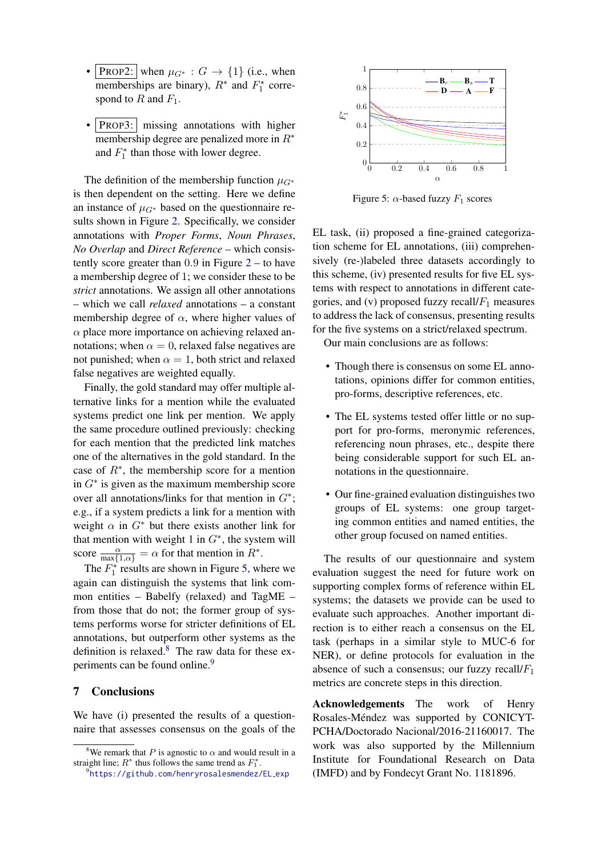- PROP2: when  $\mu_{G^*}: G \to \{1\}$  (i.e., when memberships are binary),  $R^*$  and  $F_1^*$  correspond to R and  $F_1$ .
- PROP3: missing annotations with higher membership degree are penalized more in R<sup>∗</sup> and  $F_1^*$  than those with lower degree.

The definition of the membership function  $\mu_{G^*}$ is then dependent on the setting. Here we define an instance of  $\mu_{G^*}$  based on the questionnaire results shown in Figure [2.](#page-2-0) Specifically, we consider annotations with *Proper Forms*, *Noun Phrases*, *No Overlap* and *Direct Reference* – which consistently score greater than  $0.9$  in Figure  $2 2 -$  to have a membership degree of 1; we consider these to be *strict* annotations. We assign all other annotations – which we call *relaxed* annotations – a constant membership degree of  $\alpha$ , where higher values of  $\alpha$  place more importance on achieving relaxed annotations; when  $\alpha = 0$ , relaxed false negatives are not punished; when  $\alpha = 1$ , both strict and relaxed false negatives are weighted equally.

Finally, the gold standard may offer multiple alternative links for a mention while the evaluated systems predict one link per mention. We apply the same procedure outlined previously: checking for each mention that the predicted link matches one of the alternatives in the gold standard. In the case of  $R^*$ , the membership score for a mention in  $G^*$  is given as the maximum membership score over all annotations/links for that mention in  $G^*$ ; e.g., if a system predicts a link for a mention with weight  $\alpha$  in  $G^*$  but there exists another link for that mention with weight 1 in  $G^*$ , the system will score  $\frac{\alpha}{\max\{1,\alpha\}} = \alpha$  for that mention in  $R^*$ .

The  $F_1^*$  results are shown in Figure [5,](#page-8-1) where we again can distinguish the systems that link common entities – Babelfy (relaxed) and TagME – from those that do not; the former group of systems performs worse for stricter definitions of EL annotations, but outperform other systems as the definition is relaxed. $8$  The raw data for these ex-periments can be found online.<sup>[9](#page-8-3)</sup>

# <span id="page-8-0"></span>7 Conclusions

We have (i) presented the results of a questionnaire that assesses consensus on the goals of the

<span id="page-8-1"></span>

Figure 5:  $\alpha$ -based fuzzy  $F_1$  scores

EL task, (ii) proposed a fine-grained categorization scheme for EL annotations, (iii) comprehensively (re-)labeled three datasets accordingly to this scheme, (iv) presented results for five EL systems with respect to annotations in different categories, and (v) proposed fuzzy recall/ $F_1$  measures to address the lack of consensus, presenting results for the five systems on a strict/relaxed spectrum.

Our main conclusions are as follows:

- Though there is consensus on some EL annotations, opinions differ for common entities, pro-forms, descriptive references, etc.
- The EL systems tested offer little or no support for pro-forms, meronymic references, referencing noun phrases, etc., despite there being considerable support for such EL annotations in the questionnaire.
- Our fine-grained evaluation distinguishes two groups of EL systems: one group targeting common entities and named entities, the other group focused on named entities.

The results of our questionnaire and system evaluation suggest the need for future work on supporting complex forms of reference within EL systems; the datasets we provide can be used to evaluate such approaches. Another important direction is to either reach a consensus on the EL task (perhaps in a similar style to MUC-6 for NER), or define protocols for evaluation in the absence of such a consensus; our fuzzy recall/ $F_1$ metrics are concrete steps in this direction.

Acknowledgements The work of Henry Rosales-Méndez was supported by CONICYT-PCHA/Doctorado Nacional/2016-21160017. The work was also supported by the Millennium Institute for Foundational Research on Data (IMFD) and by Fondecyt Grant No. 1181896.

<span id="page-8-2"></span><sup>&</sup>lt;sup>8</sup>We remark that P is agnostic to  $\alpha$  and would result in a straight line;  $R^*$  thus follows the same trend as  $F_1^*$ .

<span id="page-8-3"></span><sup>9</sup> [https://github.com/henryrosalesmendez/EL](https://github.com/henryrosalesmendez/EL_exp) exp